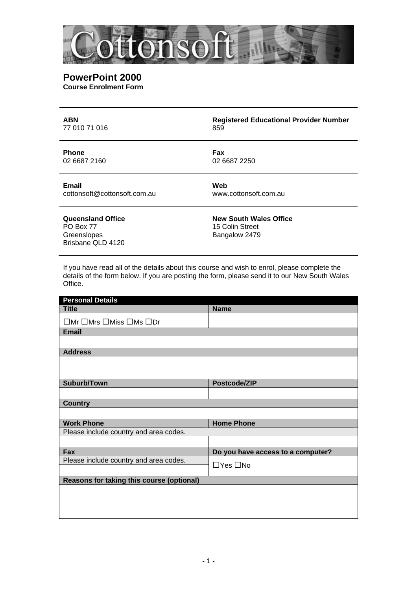

## **PowerPoint 2000 Course Enrolment Form**

| <b>ABN</b>                                                         | <b>Registered Educational Provider Number</b>                     |
|--------------------------------------------------------------------|-------------------------------------------------------------------|
| 77 010 71 016                                                      | 859                                                               |
| <b>Phone</b>                                                       | Fax                                                               |
| 02 6687 2160                                                       | 02 6687 2250                                                      |
| <b>Email</b>                                                       | Web                                                               |
| cottonsoft@cottonsoft.com.au                                       | www.cottonsoft.com.au                                             |
| Queensland Office<br>PO Box 77<br>Greenslopes<br>Brisbane QLD 4120 | <b>New South Wales Office</b><br>15 Colin Street<br>Bangalow 2479 |

If you have read all of the details about this course and wish to enrol, please complete the details of the form below. If you are posting the form, please send it to our New South Wales Office.

| <b>Personal Details</b>                              |                                   |  |
|------------------------------------------------------|-----------------------------------|--|
| <b>Title</b>                                         | <b>Name</b>                       |  |
| $\Box$ Mr $\Box$ Mrs $\Box$ Miss $\Box$ Ms $\Box$ Dr |                                   |  |
| <b>Email</b>                                         |                                   |  |
|                                                      |                                   |  |
| <b>Address</b>                                       |                                   |  |
|                                                      |                                   |  |
| Suburb/Town                                          | Postcode/ZIP                      |  |
|                                                      |                                   |  |
| <b>Country</b>                                       |                                   |  |
|                                                      |                                   |  |
| <b>Work Phone</b>                                    | <b>Home Phone</b>                 |  |
| Please include country and area codes.               |                                   |  |
|                                                      |                                   |  |
| Fax                                                  | Do you have access to a computer? |  |
| Please include country and area codes.               | $\Box$ Yes $\Box$ No              |  |
| Reasons for taking this course (optional)            |                                   |  |
|                                                      |                                   |  |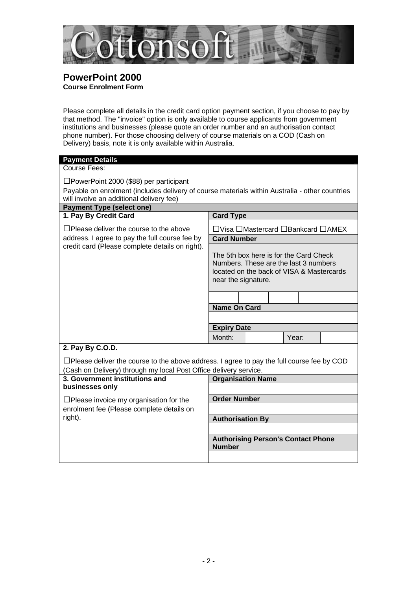

# **PowerPoint 2000 Course Enrolment Form**

Please complete all details in the credit card option payment section, if you choose to pay by that method. The "invoice" option is only available to course applicants from government institutions and businesses (please quote an order number and an authorisation contact phone number). For those choosing delivery of course materials on a COD (Cash on Delivery) basis, note it is only available within Australia.

| <b>Payment Details</b>                                                                                                                                                |                                                                                                                                                     |  |  |  |
|-----------------------------------------------------------------------------------------------------------------------------------------------------------------------|-----------------------------------------------------------------------------------------------------------------------------------------------------|--|--|--|
| Course Fees:                                                                                                                                                          |                                                                                                                                                     |  |  |  |
| □PowerPoint 2000 (\$88) per participant                                                                                                                               |                                                                                                                                                     |  |  |  |
|                                                                                                                                                                       | Payable on enrolment (includes delivery of course materials within Australia - other countries                                                      |  |  |  |
| will involve an additional delivery fee)                                                                                                                              |                                                                                                                                                     |  |  |  |
| <b>Payment Type (select one)</b>                                                                                                                                      |                                                                                                                                                     |  |  |  |
| 1. Pay By Credit Card                                                                                                                                                 | <b>Card Type</b>                                                                                                                                    |  |  |  |
| $\Box$ Please deliver the course to the above                                                                                                                         | □ Visa □ Mastercard □ Bankcard □ AMEX                                                                                                               |  |  |  |
| address. I agree to pay the full course fee by                                                                                                                        | <b>Card Number</b>                                                                                                                                  |  |  |  |
| credit card (Please complete details on right).                                                                                                                       | The 5th box here is for the Card Check<br>Numbers. These are the last 3 numbers<br>located on the back of VISA & Mastercards<br>near the signature. |  |  |  |
|                                                                                                                                                                       |                                                                                                                                                     |  |  |  |
|                                                                                                                                                                       | <b>Name On Card</b>                                                                                                                                 |  |  |  |
|                                                                                                                                                                       |                                                                                                                                                     |  |  |  |
|                                                                                                                                                                       | <b>Expiry Date</b>                                                                                                                                  |  |  |  |
|                                                                                                                                                                       | Month:<br>Year:                                                                                                                                     |  |  |  |
| 2. Pay By C.O.D.                                                                                                                                                      |                                                                                                                                                     |  |  |  |
| $\Box$ Please deliver the course to the above address. I agree to pay the full course fee by COD<br>(Cash on Delivery) through my local Post Office delivery service. |                                                                                                                                                     |  |  |  |
| 3. Government institutions and<br><b>Organisation Name</b>                                                                                                            |                                                                                                                                                     |  |  |  |
| businesses only                                                                                                                                                       |                                                                                                                                                     |  |  |  |
| $\Box$ Please invoice my organisation for the                                                                                                                         | <b>Order Number</b>                                                                                                                                 |  |  |  |
| enrolment fee (Please complete details on                                                                                                                             |                                                                                                                                                     |  |  |  |
| right).                                                                                                                                                               | <b>Authorisation By</b>                                                                                                                             |  |  |  |
|                                                                                                                                                                       |                                                                                                                                                     |  |  |  |
|                                                                                                                                                                       | <b>Authorising Person's Contact Phone</b><br><b>Number</b>                                                                                          |  |  |  |